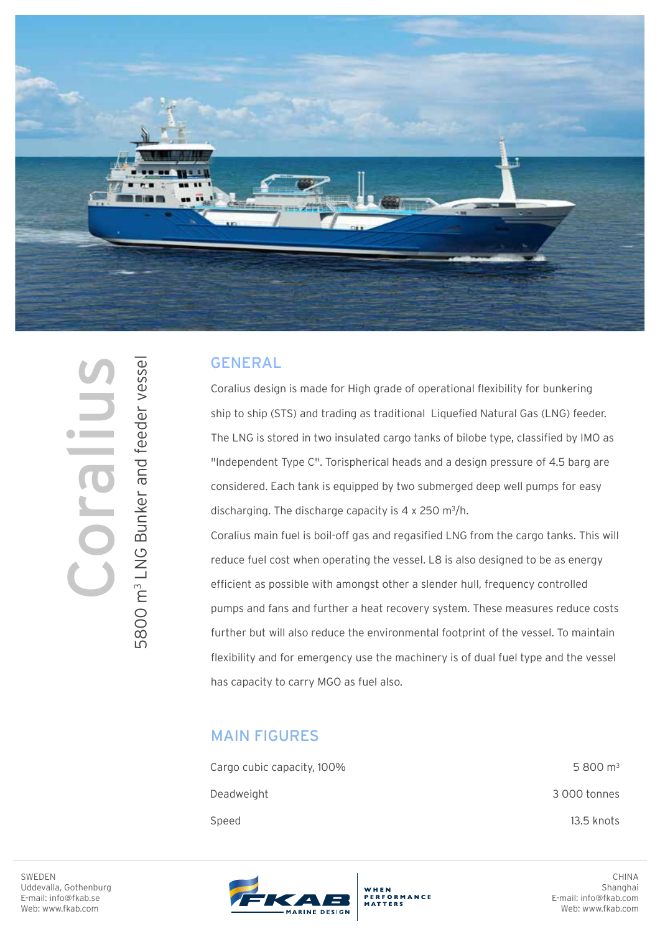

## GENERAL

Coralius design is made for High grade of operational flexibility for bunkering ship to ship (STS) and trading as traditional Liquefied Natural Gas (LNG) feeder. The LNG is stored in two insulated cargo tanks of bilobe type, classified by IMO as "Independent Type C". Torispherical heads and a design pressure of 4.5 barg are considered. Each tank is equipped by two submerged deep well pumps for easy discharging. The discharge capacity is  $4 \times 250$  m<sup>3</sup>/h.

Coralius main fuel is boil-off gas and regasified LNG from the cargo tanks. This will reduce fuel cost when operating the vessel. L8 is also designed to be as energy efficient as possible with amongst other a slender hull, frequency controlled pumps and fans and further a heat recovery system. These measures reduce costs further but will also reduce the environmental footprint of the vessel. To maintain flexibility and for emergency use the machinery is of dual fuel type and the vessel has capacity to carry MGO as fuel also.

## MAIN FIGURES

| Cargo cubic capacity, 100% | $5800 \text{ m}^3$ |
|----------------------------|--------------------|
| Deadweight                 | 3 000 tonnes       |
| Speed                      | 13.5 knots         |

WHEN<br>PERFORMANCE



**Collin** 

5800 m<sup>3</sup> LNG Bunker and feeder vessel 5800 m3 LNG Bunker and feeder vessel



CHINA Shanghai E-mail: info@fkab.com Web: www.fkab.com